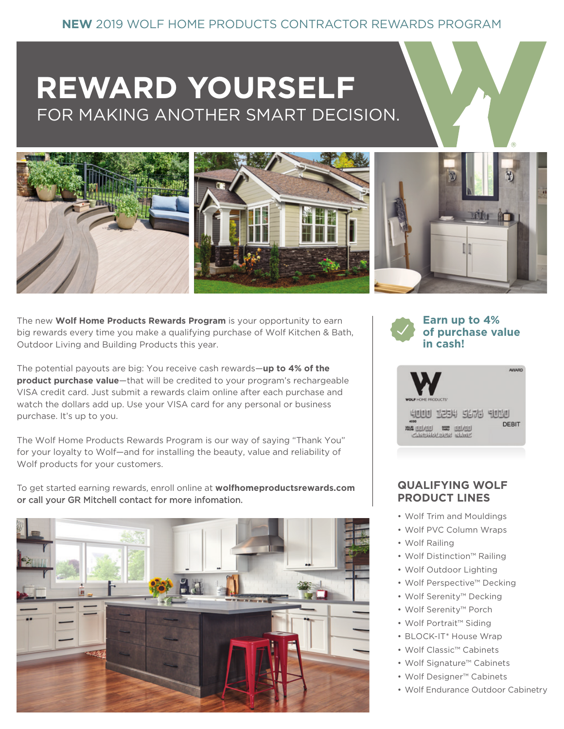# **REWARD YOURSELF**  FOR MAKING ANOTHER SMART DECISION.



The new **Wolf Home Products Rewards Program** is your opportunity to earn big rewards every time you make a qualifying purchase of Wolf Kitchen & Bath, Outdoor Living and Building Products this year.

The potential payouts are big: You receive cash rewards—**up to 4% of the product purchase value**—that will be credited to your program's rechargeable VISA credit card. Just submit a rewards claim online after each purchase and watch the dollars add up. Use your VISA card for any personal or business purchase. It's up to you.

The Wolf Home Products Rewards Program is our way of saying "Thank You" for your loyalty to Wolf—and for installing the beauty, value and reliability of Wolf products for your customers.

To get started earning rewards, enroll online at **wolfhomeproductsrewards.com** or call your GR Mitchell contact for more infomation.





# **QUALIFYING WOLF PRODUCT LINES**

- Wolf Trim and Mouldings
- Wolf PVC Column Wraps
- Wolf Railing
- Wolf Distinction™ Railing
- Wolf Outdoor Lighting
- Wolf Perspective™ Decking
- Wolf Serenity™ Decking
- Wolf Serenity™ Porch
- Wolf Portrait™ Siding
- BLOCK-IT\* House Wrap
- Wolf Classic™ Cabinets
- Wolf Signature™ Cabinets
- Wolf Designer™ Cabinets
- Wolf Endurance Outdoor Cabinetry